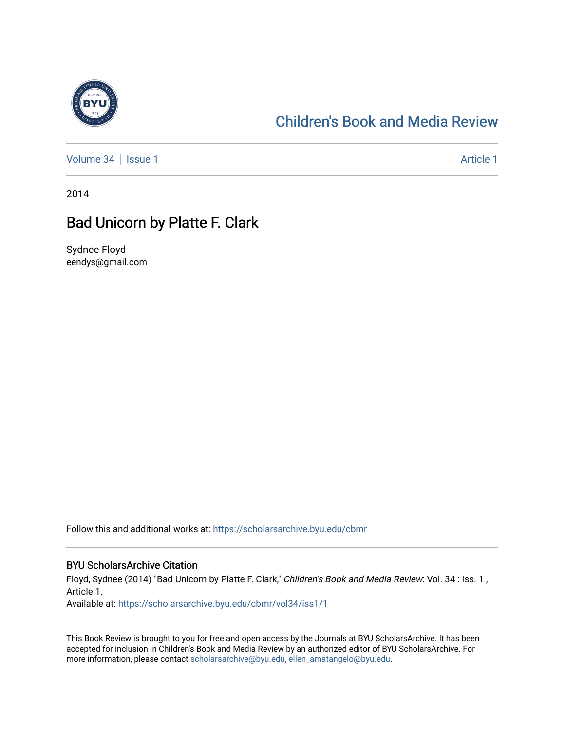

## [Children's Book and Media Review](https://scholarsarchive.byu.edu/cbmr)

[Volume 34](https://scholarsarchive.byu.edu/cbmr/vol34) | [Issue 1](https://scholarsarchive.byu.edu/cbmr/vol34/iss1) Article 1

2014

## Bad Unicorn by Platte F. Clark

Sydnee Floyd eendys@gmail.com

Follow this and additional works at: [https://scholarsarchive.byu.edu/cbmr](https://scholarsarchive.byu.edu/cbmr?utm_source=scholarsarchive.byu.edu%2Fcbmr%2Fvol34%2Fiss1%2F1&utm_medium=PDF&utm_campaign=PDFCoverPages) 

## BYU ScholarsArchive Citation

Floyd, Sydnee (2014) "Bad Unicorn by Platte F. Clark," Children's Book and Media Review: Vol. 34 : Iss. 1, Article 1.

Available at: [https://scholarsarchive.byu.edu/cbmr/vol34/iss1/1](https://scholarsarchive.byu.edu/cbmr/vol34/iss1/1?utm_source=scholarsarchive.byu.edu%2Fcbmr%2Fvol34%2Fiss1%2F1&utm_medium=PDF&utm_campaign=PDFCoverPages) 

This Book Review is brought to you for free and open access by the Journals at BYU ScholarsArchive. It has been accepted for inclusion in Children's Book and Media Review by an authorized editor of BYU ScholarsArchive. For more information, please contact [scholarsarchive@byu.edu, ellen\\_amatangelo@byu.edu.](mailto:scholarsarchive@byu.edu,%20ellen_amatangelo@byu.edu)